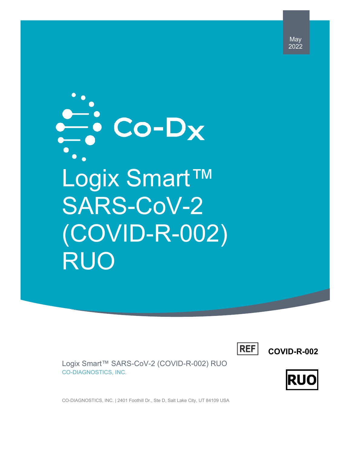May 2022

 $\frac{\overline{a}}{\overline{b}}$  Co-Dx Logix Smart™ SARS-CoV-2 (COVID-R-002) RUO

**REF** 

**COVID-R-002**



Logix Smart™ SARS-CoV-2 (COVID-R-002) RUO CO-DIAGNOSTICS, INC.

CO-DIAGNOSTICS, INC. | 2401 Foothill Dr., Ste D, Salt Lake City, UT 84109 USA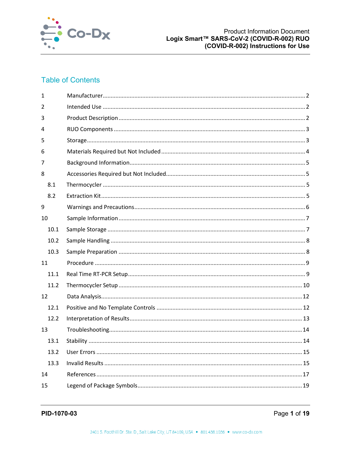

# **Table of Contents**

| $\mathbf{1}$ |      |  |
|--------------|------|--|
| 2            |      |  |
| 3            |      |  |
| 4            |      |  |
| 5            |      |  |
| 6            |      |  |
| 7            |      |  |
| 8            |      |  |
|              | 8.1  |  |
|              | 8.2  |  |
| 9            |      |  |
| 10           |      |  |
|              | 10.1 |  |
|              | 10.2 |  |
|              | 10.3 |  |
| 11           |      |  |
|              | 11.1 |  |
|              | 11.2 |  |
| 12           |      |  |
|              | 12.1 |  |
|              | 12.2 |  |
| 13           |      |  |
|              | 13.1 |  |
|              | 13.2 |  |
|              | 13.3 |  |
| 14           |      |  |
| 15           |      |  |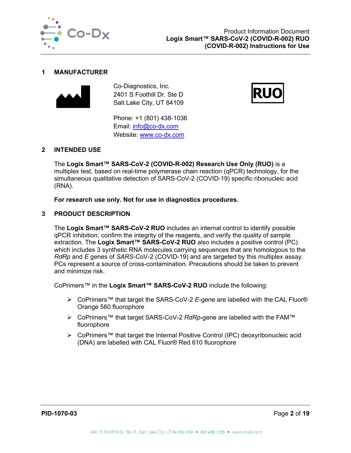

## <span id="page-2-0"></span>**1 MANUFACTURER**



Co-Diagnostics, Inc. 2401 S Foothill Dr. Ste D Salt Lake City, UT 84109

Phone: +1 (801) 438-1036 Email: [info@co-dx.com](mailto:info@co-dx.com) Website: [www.co-dx.com](http://www.co-dx.com/)



# <span id="page-2-1"></span>**2 INTENDED USE**

The **Logix Smart™ SARS-CoV-2 (COVID-R-002) Research Use Only (RUO)** is a multiplex test, based on real-time polymerase chain reaction (qPCR) technology, for the simultaneous qualitative detection of SARS-CoV-2 (COVID-19) specific ribonucleic acid (RNA).

**For research use only. Not for use in diagnostics procedures.** 

# <span id="page-2-2"></span>**3 PRODUCT DESCRIPTION**

The **Logix Smart™ SARS-CoV-2 RUO** includes an internal control to identify possible qPCR inhibition, confirm the integrity of the reagents, and verify the quality of sample extraction. The **Logix Smart™ SARS-CoV-2 RUO** also includes a positive control (PC) which includes 3 synthetic RNA molecules carrying sequences that are homologous to the *RdRp* and *E* genes of *SARS*-CoV-2 (COVID-19) and are targeted by this multiplex assay. PCs represent a source of cross-contamination. Precautions should be taken to prevent and minimize risk.

CoPrimers™ in the **Logix Smart™ SARS-CoV-2 RUO** include the following:

- CoPrimers™ that target the SARS-CoV-2 *E*-gene are labelled with the CAL Fluor® Orange 560 fluorophore
- CoPrimers™ that target SARS-CoV-2 *RdRp*-gene are labelled with the FAM™ fluorophore
- CoPrimers™ that target the Internal Positive Control (IPC) deoxyribonucleic acid (DNA) are labelled with CAL Fluor® Red 610 fluorophore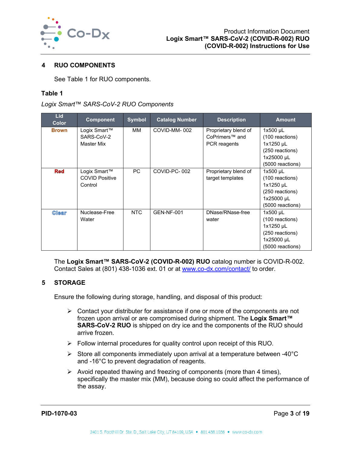

# <span id="page-3-0"></span>**4 RUO COMPONENTS**

See [Table 1](#page-3-2) for RUO components.

## <span id="page-3-2"></span>**Table 1**

|  |  | Logix Smart™ SARS-CoV-2 RUO Components |
|--|--|----------------------------------------|
|--|--|----------------------------------------|

| <b>Lid</b><br><b>Color</b> | <b>Component</b>      | <b>Symbol</b> | <b>Catalog Number</b> | <b>Description</b>   | <b>Amount</b>    |
|----------------------------|-----------------------|---------------|-----------------------|----------------------|------------------|
| <b>Brown</b>               | Logix Smart™          | MМ            | COVID-MM-002          | Proprietary blend of | $1x500$ µL       |
|                            | SARS-CoV-2            |               |                       | CoPrimers™ and       | (100 reactions)  |
|                            | Master Mix            |               |                       | PCR reagents         | 1x1250 µL        |
|                            |                       |               |                       |                      | (250 reactions)  |
|                            |                       |               |                       |                      | 1x25000 µL       |
|                            |                       |               |                       |                      | (5000 reactions) |
| <b>Red</b>                 | Logix Smart™          | <b>PC</b>     | COVID-PC-002          | Proprietary blend of | $1x500$ µL       |
|                            | <b>COVID Positive</b> |               |                       | target templates     | (100 reactions)  |
|                            | Control               |               |                       |                      | 1x1250 µL        |
|                            |                       |               |                       |                      | (250 reactions)  |
|                            |                       |               |                       |                      | 1x25000 µL       |
|                            |                       |               |                       |                      | (5000 reactions) |
| <b>Clear</b>               | Nuclease-Free         | <b>NTC</b>    | <b>GEN-NF-001</b>     | DNase/RNase-free     | $1x500$ µL       |
|                            | Water                 |               |                       | water                | (100 reactions)  |
|                            |                       |               |                       |                      | 1x1250 µL        |
|                            |                       |               |                       |                      | (250 reactions)  |
|                            |                       |               |                       |                      | 1x25000 µL       |
|                            |                       |               |                       |                      | (5000 reactions) |

The **Logix Smart™ SARS-CoV-2 (COVID-R-002) RUO** catalog number is COVID-R-002. Contact Sales at (801) 438-1036 ext. 01 or at [www.co-dx.com/contact/](http://www.co-dx.com/contact/) to order.

# <span id="page-3-1"></span>**5 STORAGE**

Ensure the following during storage, handling, and disposal of this product:

- $\triangleright$  Contact your distributer for assistance if one or more of the components are not frozen upon arrival or are compromised during shipment. The **Logix Smart™ SARS-CoV-2 RUO** is shipped on dry ice and the components of the RUO should arrive frozen.
- $\triangleright$  Follow internal procedures for quality control upon receipt of this RUO.
- $\triangleright$  Store all components immediately upon arrival at a temperature between -40 $\degree$ C and -16°C to prevent degradation of reagents.
- $\triangleright$  Avoid repeated thawing and freezing of components (more than 4 times), specifically the master mix (MM), because doing so could affect the performance of the assay.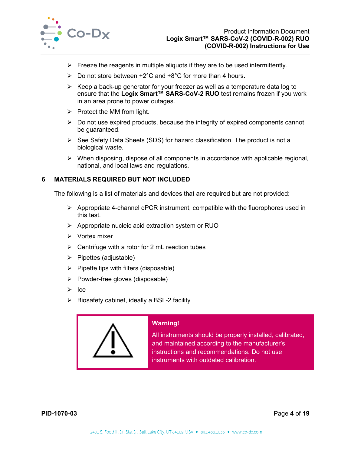

- $\triangleright$  Freeze the reagents in multiple aliquots if they are to be used intermittently.
- $\triangleright$  Do not store between +2°C and +8°C for more than 4 hours.
- $\triangleright$  Keep a back-up generator for your freezer as well as a temperature data log to ensure that the **Logix Smart™ SARS-CoV-2 RUO** test remains frozen if you work in an area prone to power outages.
- $\triangleright$  Protect the MM from light.
- $\triangleright$  Do not use expired products, because the integrity of expired components cannot be guaranteed.
- $\triangleright$  See Safety Data Sheets (SDS) for hazard classification. The product is not a biological waste.
- $\triangleright$  When disposing, dispose of all components in accordance with applicable regional, national, and local laws and regulations.

# <span id="page-4-0"></span>**6 MATERIALS REQUIRED BUT NOT INCLUDED**

The following is a list of materials and devices that are required but are not provided:

- $\triangleright$  Appropriate 4-channel qPCR instrument, compatible with the fluorophores used in this test.
- $\triangleright$  Appropriate nucleic acid extraction system or RUO
- $\triangleright$  Vortex mixer
- $\triangleright$  Centrifuge with a rotor for 2 mL reaction tubes
- $\triangleright$  Pipettes (adjustable)
- $\triangleright$  Pipette tips with filters (disposable)
- $\triangleright$  Powder-free gloves (disposable)
- $\triangleright$  Ice
- $\triangleright$  Biosafety cabinet, ideally a BSL-2 facility



# **Warning!**

All instruments should be properly installed, calibrated, and maintained according to the manufacturer's instructions and recommendations. Do not use instruments with outdated calibration.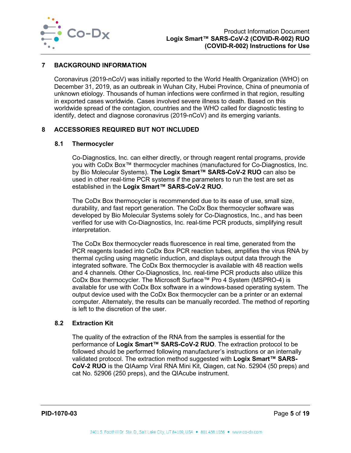

# <span id="page-5-0"></span>**7 BACKGROUND INFORMATION**

Coronavirus (2019-nCoV) was initially reported to the World Health Organization (WHO) on December 31, 2019, as an outbreak in Wuhan City, Hubei Province, China of pneumonia of unknown etiology. Thousands of human infections were confirmed in that region, resulting in exported cases worldwide. Cases involved severe illness to death. Based on this worldwide spread of the contagion, countries and the WHO called for diagnostic testing to identify, detect and diagnose coronavirus (2019-nCoV) and its emerging variants.

# <span id="page-5-1"></span>**8 ACCESSORIES REQUIRED BUT NOT INCLUDED**

## <span id="page-5-2"></span>**8.1 Thermocycler**

Co-Diagnostics, Inc. can either directly, or through reagent rental programs, provide you with CoDx Box™ thermocycler machines (manufactured for Co-Diagnostics, Inc. by Bio Molecular Systems). **The Logix Smart™ SARS-CoV-2 RUO** can also be used in other real-time PCR systems if the parameters to run the test are set as established in the **Logix Smart™ SARS-CoV-2 RUO**.

The CoDx Box thermocycler is recommended due to its ease of use, small size, durability, and fast report generation. The CoDx Box thermocycler software was developed by Bio Molecular Systems solely for Co-Diagnostics, Inc., and has been verified for use with Co-Diagnostics, Inc. real-time PCR products, simplifying result interpretation.

The CoDx Box thermocycler reads fluorescence in real time, generated from the PCR reagents loaded into CoDx Box PCR reaction tubes, amplifies the virus RNA by thermal cycling using magnetic induction, and displays output data through the integrated software. The CoDx Box thermocycler is available with 48 reaction wells and 4 channels. Other Co-Diagnostics, Inc. real-time PCR products also utilize this CoDx Box thermocycler. The Microsoft Surface™ Pro 4 System (MSPRO-4) is available for use with CoDx Box software in a windows-based operating system. The output device used with the CoDx Box thermocycler can be a printer or an external computer. Alternately, the results can be manually recorded. The method of reporting is left to the discretion of the user.

## <span id="page-5-3"></span>**8.2 Extraction Kit**

The quality of the extraction of the RNA from the samples is essential for the performance of **Logix Smart™ SARS-CoV-2 RUO**. The extraction protocol to be followed should be performed following manufacturer's instructions or an internally validated protocol. The extraction method suggested with **Logix Smart™ SARS-CoV-2 RUO** is the QIAamp Viral RNA Mini Kit, Qiagen, cat No. 52904 (50 preps) and cat No. 52906 (250 preps), and the QIAcube instrument.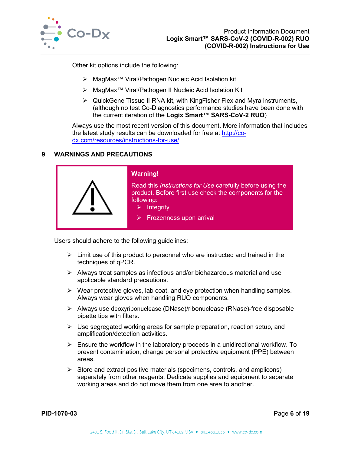

Other kit options include the following:

- MagMax™ Viral/Pathogen Nucleic Acid Isolation kit
- MagMax™ Viral/Pathogen II Nucleic Acid Isolation Kit
- QuickGene Tissue II RNA kit, with KingFisher Flex and Myra instruments, (although no test Co-Diagnostics performance studies have been done with the current iteration of the **Logix Smart™ SARS-CoV-2 RUO**)

Always use the most recent version of this document. More information that includes the latest study results can be downloaded for free at [http://co](http://co-dx.com/resources/instructions-for-use/)[dx.com/resources/instructions-for-use/](http://co-dx.com/resources/instructions-for-use/)

# <span id="page-6-0"></span>**9 WARNINGS AND PRECAUTIONS**



Users should adhere to the following guidelines:

- $\triangleright$  Limit use of this product to personnel who are instructed and trained in the techniques of qPCR.
- $\triangleright$  Always treat samples as infectious and/or biohazardous material and use applicable standard precautions.
- $\triangleright$  Wear protective gloves, lab coat, and eye protection when handling samples. Always wear gloves when handling RUO components.
- Always use deoxyribonuclease (DNase)/ribonuclease (RNase)-free disposable pipette tips with filters.
- $\triangleright$  Use segregated working areas for sample preparation, reaction setup, and amplification/detection activities.
- $\triangleright$  Ensure the workflow in the laboratory proceeds in a unidirectional workflow. To prevent contamination, change personal protective equipment (PPE) between areas.
- $\triangleright$  Store and extract positive materials (specimens, controls, and amplicons) separately from other reagents. Dedicate supplies and equipment to separate working areas and do not move them from one area to another.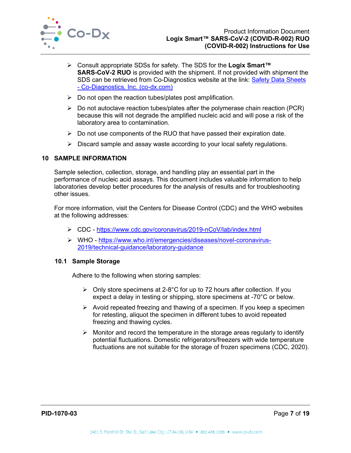

- Consult appropriate SDSs for safety. The SDS for the **Logix Smart™ SARS-CoV-2 RUO** is provided with the shipment. If not provided with shipment the SDS can be retrieved from Co-Diagnostics website at the link: [Safety Data Sheets](http://codiagnostics.com/resources/safety-data-sheets/)  - [Co-Diagnostics, Inc. \(co-dx.com\)](http://codiagnostics.com/resources/safety-data-sheets/)
- $\triangleright$  Do not open the reaction tubes/plates post amplification.
- $\triangleright$  Do not autoclave reaction tubes/plates after the polymerase chain reaction (PCR) because this will not degrade the amplified nucleic acid and will pose a risk of the laboratory area to contamination.
- $\triangleright$  Do not use components of the RUO that have passed their expiration date.
- $\triangleright$  Discard sample and assay waste according to your local safety regulations.

# <span id="page-7-0"></span>**10 SAMPLE INFORMATION**

Sample selection, collection, storage, and handling play an essential part in the performance of nucleic acid assays. This document includes valuable information to help laboratories develop better procedures for the analysis of results and for troubleshooting other issues.

For more information, visit the Centers for Disease Control (CDC) and the WHO websites at the following addresses:

- CDC <https://www.cdc.gov/coronavirus/2019-nCoV/lab/index.html>
- WHO [https://www.who.int/emergencies/diseases/novel-coronavirus-](https://www.who.int/emergencies/diseases/novel-coronavirus-2019/technical-guidance/laboratory-guidance)[2019/technical-guidance/laboratory-guidance](https://www.who.int/emergencies/diseases/novel-coronavirus-2019/technical-guidance/laboratory-guidance)

## <span id="page-7-1"></span>**10.1 Sample Storage**

Adhere to the following when storing samples:

- $\triangleright$  Only store specimens at 2-8°C for up to 72 hours after collection. If you expect a delay in testing or shipping, store specimens at -70°C or below.
- $\triangleright$  Avoid repeated freezing and thawing of a specimen. If you keep a specimen for retesting, aliquot the specimen in different tubes to avoid repeated freezing and thawing cycles.
- $\triangleright$  Monitor and record the temperature in the storage areas regularly to identify potential fluctuations. Domestic refrigerators/freezers with wide temperature fluctuations are not suitable for the storage of frozen specimens (CDC, 2020).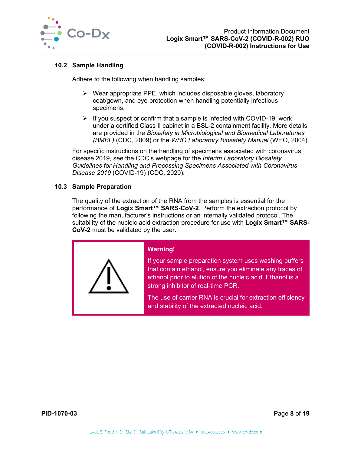

# <span id="page-8-0"></span>**10.2 Sample Handling**

Adhere to the following when handling samples:

- $\triangleright$  Wear appropriate PPE, which includes disposable gloves, laboratory coat/gown, and eye protection when handling potentially infectious specimens.
- $\triangleright$  If you suspect or confirm that a sample is infected with COVID-19, work under a certified Class II cabinet in a BSL-2 containment facility. More details are provided in the *Biosafety in Microbiological and Biomedical Laboratories (BMBL)* (CDC, 2009) or the *WHO Laboratory Biosafety Manual* (WHO, 2004).

For specific instructions on the handling of specimens associated with coronavirus disease 2019, see the CDC's webpage for the *Interim Laboratory Biosafety Guidelines for Handling and Processing Specimens Associated with Coronavirus Disease 2019* (COVID-19) (CDC, 2020).

# <span id="page-8-1"></span>**10.3 Sample Preparation**

The quality of the extraction of the RNA from the samples is essential for the performance of **Logix Smart™ SARS-CoV-2**. Perform the extraction protocol by following the manufacturer's instructions or an internally validated protocol. The suitability of the nucleic acid extraction procedure for use with **Logix Smart™ SARS-CoV-2** must be validated by the user.



# **Warning!**

If your sample preparation system uses washing buffers that contain ethanol, ensure you eliminate any traces of ethanol prior to elution of the nucleic acid. Ethanol is a strong inhibitor of real-time PCR.

The use of carrier RNA is crucial for extraction efficiency and stability of the extracted nucleic acid.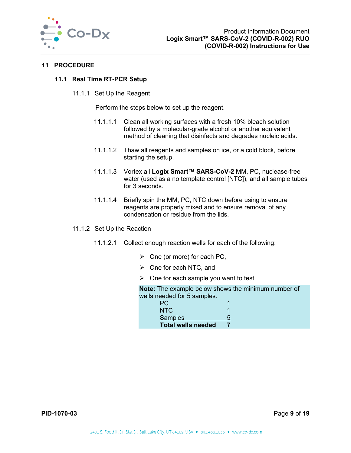

## <span id="page-9-1"></span><span id="page-9-0"></span>**11 PROCEDURE**

## **11.1 Real Time RT-PCR Setup**

11.1.1 Set Up the Reagent

Perform the steps below to set up the reagent.

- 11.1.1.1 Clean all working surfaces with a fresh 10% bleach solution followed by a molecular-grade alcohol or another equivalent method of cleaning that disinfects and degrades nucleic acids.
- 11.1.1.2 Thaw all reagents and samples on ice, or a cold block, before starting the setup.
- 11.1.1.3 Vortex all **Logix Smart™ SARS-CoV-2** MM, PC, nuclease-free water (used as a no template control [NTC]), and all sample tubes for 3 seconds.
- 11.1.1.4 Briefly spin the MM, PC, NTC down before using to ensure reagents are properly mixed and to ensure removal of any condensation or residue from the lids.
- 11.1.2 Set Up the Reaction
	- 11.1.2.1 Collect enough reaction wells for each of the following:
		- $\triangleright$  One (or more) for each PC,
		- $\triangleright$  One for each NTC, and
		- $\triangleright$  One for each sample you want to test

**Note:** The example below shows the minimum number of wells needed for 5 samples.

| PC.                       |   |
|---------------------------|---|
| NTC.                      |   |
| Samples                   | 5 |
| <b>Total wells needed</b> |   |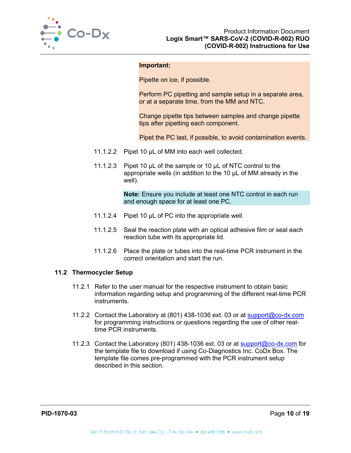

#### **Important:**

Pipette on ice, if possible.

Perform PC pipetting and sample setup in a separate area, or at a separate time, from the MM and NTC.

Change pipette tips between samples and change pipette tips after pipetting each component.

Pipet the PC last, if possible, to avoid contamination events.

- 11.1.2.2 Pipet 10 µL of MM into each well collected.
- 11.1.2.3 Pipet 10 µL of the sample or 10 µL of NTC control to the appropriate wells (in addition to the 10 µL of MM already in the well).

**Note:** Ensure you include at least one NTC control in each run and enough space for at least one PC.

- 11.1.2.4 Pipet 10 µL of PC into the appropriate well.
- 11.1.2.5 Seal the reaction plate with an optical adhesive film or seal each reaction tube with its appropriate lid.
- 11.1.2.6 Place the plate or tubes into the real-time PCR instrument in the correct orientation and start the run.

## <span id="page-10-0"></span>**11.2 Thermocycler Setup**

- 11.2.1 Refer to the user manual for the respective instrument to obtain basic information regarding setup and programming of the different real-time PCR instruments.
- 11.2.2 Contact the Laboratory at (801) 438-1036 ext. 03 or at [support@co-dx.com](mailto:support@co-dx.com) for programming instructions or questions regarding the use of other realtime PCR instruments.
- 11.2.3 Contact the Laboratory (801) 438-1036 ext. 03 or at [support@co-dx.com](mailto:support@co-dx.com) for the template file to download if using Co-Diagnostics Inc. CoDx Box. The template file comes pre-programmed with the PCR instrument setup described in this section.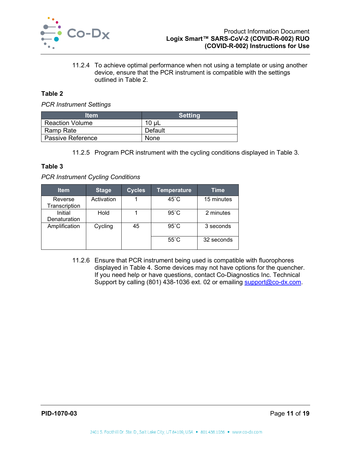

11.2.4 To achieve optimal performance when not using a template or using another device, ensure that the PCR instrument is compatible with the settings outlined in [Table 2.](#page-11-0)

## <span id="page-11-0"></span>**Table 2**

*PCR Instrument Settings*

| ltem                     | <b>Setting</b> |
|--------------------------|----------------|
| <b>Reaction Volume</b>   | $10 \mu L$     |
| Ramp Rate                | Default        |
| <b>Passive Reference</b> | None           |

11.2.5 Program PCR instrument with the cycling conditions displayed in [Table 3.](#page-11-1)

## <span id="page-11-1"></span>**Table 3**

#### *PCR Instrument Cycling Conditions*

| <b>Item</b>              | <b>Stage</b> | <b>Cycles</b> | <b>Temperature</b> | <b>Time</b> |
|--------------------------|--------------|---------------|--------------------|-------------|
| Reverse<br>Transcription | Activation   |               | $45^{\circ}$ C     | 15 minutes  |
| Initial<br>Denaturation  | Hold         |               | $95^{\circ}$ C     | 2 minutes   |
| Amplification            | Cycling      | 45            | $95^{\circ}$ C     | 3 seconds   |
|                          |              |               | $55^{\circ}$ C     | 32 seconds  |

11.2.6 Ensure that PCR instrument being used is compatible with fluorophores displayed in [Table 4.](#page-12-2) Some devices may not have options for the quencher. If you need help or have questions, contact Co-Diagnostics Inc. Technical Support by calling (801) 438-1036 ext. 02 or emailing [support@co-dx.com.](mailto:support@co-dx.com)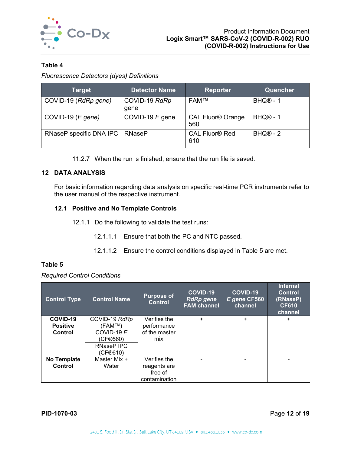

# <span id="page-12-2"></span>**Table 4**

*Fluorescence Detectors (dyes) Definitions*

| <b>Target</b>           | <b>Detector Name</b>  | <b>Reporter</b>                            | Quencher             |
|-------------------------|-----------------------|--------------------------------------------|----------------------|
| COVID-19 (RdRp gene)    | COVID-19 RdRp<br>qene | <b>FAM™</b>                                | BHQ <sup>®</sup> - 1 |
| COVID-19 $(E$ gene)     | COVID-19 $E$ gene     | <b>CAL Fluor<sup>®</sup> Orange</b><br>560 | BHQ <sup>®</sup> - 1 |
| RNaseP specific DNA IPC | <b>RNaseP</b>         | <b>CAL Fluor<sup>®</sup> Red</b><br>610    | $BHQ@ - 2$           |

11.2.7 When the run is finished, ensure that the run file is saved.

# <span id="page-12-0"></span>**12 DATA ANALYSIS**

For basic information regarding data analysis on specific real-time PCR instruments refer to the user manual of the respective instrument.

# <span id="page-12-1"></span>**12.1 Positive and No Template Controls**

- 12.1.1 Do the following to validate the test runs:
	- 12.1.1.1 Ensure that both the PC and NTC passed.
	- 12.1.1.2 Ensure the control conditions displayed in [Table 5](#page-12-3) are met.

## <span id="page-12-3"></span>**Table 5**

*Required Control Conditions*

| <b>Control Type</b> | <b>Control Name</b> | <b>Purpose of</b><br><b>Control</b> | <b>COVID-19</b><br><b>RdRp</b> gene<br><b>FAM channel</b> | <b>COVID-19</b><br>E gene CF560<br>channel | <b>Internal</b><br><b>Control</b><br>(RNaseP)<br><b>CF610</b><br>channel |
|---------------------|---------------------|-------------------------------------|-----------------------------------------------------------|--------------------------------------------|--------------------------------------------------------------------------|
| COVID-19            | COVID-19 RdRp       | Verifies the                        | ÷.                                                        | $+$                                        | $\ddot{}$                                                                |
| <b>Positive</b>     | (FAM™)              | performance                         |                                                           |                                            |                                                                          |
| Control             | COVID-19 $E$        | of the master                       |                                                           |                                            |                                                                          |
|                     | (CF®560)            | mix                                 |                                                           |                                            |                                                                          |
|                     | RNaseP IPC          |                                     |                                                           |                                            |                                                                          |
|                     | (CF®610)            |                                     |                                                           |                                            |                                                                          |
| No Template         | Master Mix +        | Verifies the                        | $\overline{\phantom{a}}$                                  |                                            |                                                                          |
| Control             | Water               | reagents are                        |                                                           |                                            |                                                                          |
|                     |                     | free of                             |                                                           |                                            |                                                                          |
|                     |                     | contamination                       |                                                           |                                            |                                                                          |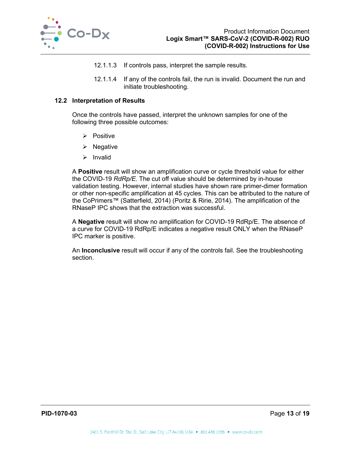

- 12.1.1.3 If controls pass, interpret the sample results.
- 12.1.1.4 If any of the controls fail, the run is invalid. Document the run and initiate troubleshooting.

## <span id="page-13-0"></span>**12.2 Interpretation of Results**

Once the controls have passed, interpret the unknown samples for one of the following three possible outcomes:

- $\triangleright$  Positive
- $\triangleright$  Negative
- $\triangleright$  Invalid

A **Positive** result will show an amplification curve or cycle threshold value for either the COVID-19 *RdRp/E*. The cut off value should be determined by in-house validation testing. However, internal studies have shown rare primer-dimer formation or other non-specific amplification at 45 cycles. This can be attributed to the nature of the CoPrimers™ (Satterfield, 2014) (Poritz & Ririe, 2014). The amplification of the RNaseP IPC shows that the extraction was successful.

A **Negative** result will show no amplification for COVID-19 RdRp/E. The absence of a curve for COVID-19 RdRp/E indicates a negative result ONLY when the RNaseP IPC marker is positive.

An **Inconclusive** result will occur if any of the controls fail. See the troubleshooting section.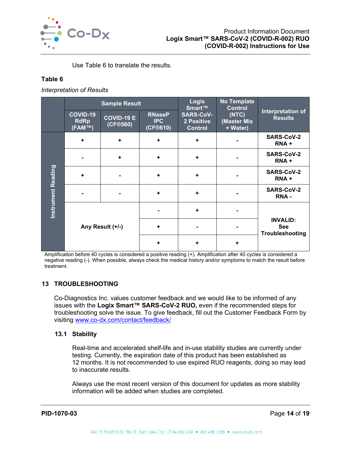

Use [Table 6](#page-14-2) to translate the results.

# <span id="page-14-2"></span>**Table 6**

*Interpretation of Results*

|                           | <b>Sample Result</b>              |                               |                                         | <b>Logix</b><br>Smart™                           | <b>No Template</b><br><b>Control</b>             |                                     |
|---------------------------|-----------------------------------|-------------------------------|-----------------------------------------|--------------------------------------------------|--------------------------------------------------|-------------------------------------|
|                           | COVID-19<br><b>RdRp</b><br>(FAM™) | <b>COVID-19 E</b><br>(CF@560) | <b>RNaseP</b><br><b>IPC</b><br>(CF@610) | <b>SARS-CoV-</b><br>2 Positive<br><b>Control</b> | (NTC)<br>(Master Mix<br>+ Water)                 | Interpretation of<br><b>Results</b> |
|                           | $\ddot{}$                         | $\ddot{\phantom{1}}$          | $\ddot{}$                               | $\ddot{\phantom{1}}$                             | $\blacksquare$                                   | <b>SARS-CoV-2</b><br>RNA+           |
|                           |                                   | ÷                             | $\ddot{\phantom{1}}$                    | $\ddot{\phantom{1}}$                             |                                                  | <b>SARS-CoV-2</b><br>RNA+           |
|                           | ÷                                 |                               | $\ddot{\phantom{1}}$                    | $\ddot{\phantom{1}}$                             |                                                  | <b>SARS-CoV-2</b><br>RNA+           |
| <b>Instrument Reading</b> |                                   |                               | $\ddot{}$                               | $\ddot{\phantom{1}}$                             |                                                  | <b>SARS-CoV-2</b><br>RNA-           |
|                           |                                   |                               |                                         | $\ddot{}$                                        |                                                  |                                     |
|                           | Any Result (+/-)                  | $\ddot{\phantom{1}}$          |                                         |                                                  | <b>INVALID:</b><br><b>See</b><br>Troubleshooting |                                     |
|                           |                                   | $\ddot{\phantom{1}}$          | ٠                                       | ÷                                                |                                                  |                                     |

Amplification before 40 cycles is considered a positive reading (+). Amplification after 40 cycles is considered a negative reading (-). When possible, always check the medical history and/or symptoms to match the result before treatment.

# <span id="page-14-0"></span>**13 TROUBLESHOOTING**

Co-Diagnostics Inc. values customer feedback and we would like to be informed of any issues with the **Logix Smart™ SARS-CoV-2 RUO,** even if the recommended steps for troubleshooting solve the issue. To give feedback, fill out the Customer Feedback Form by visiting [www.co-dx.com/contact/feedback/](http://www.co-dx.com/contact/feedback/)

## <span id="page-14-1"></span>**13.1 Stability**

Real-time and accelerated shelf-life and in-use stability studies are currently under testing. Currently, the expiration date of this product has been established as 12 months. It is not recommended to use expired RUO reagents, doing so may lead to inaccurate results.

Always use the most recent version of this document for updates as more stability information will be added when studies are completed.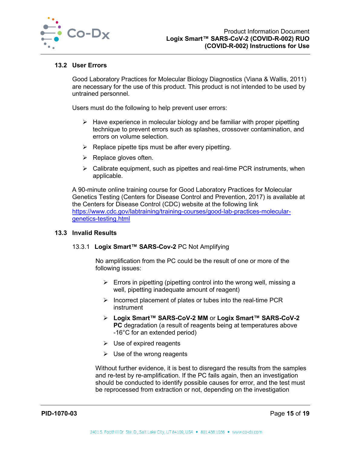

## <span id="page-15-0"></span>**13.2 User Errors**

Good Laboratory Practices for Molecular Biology Diagnostics (Viana & Wallis, 2011) are necessary for the use of this product. This product is not intended to be used by untrained personnel.

Users must do the following to help prevent user errors:

- $\triangleright$  Have experience in molecular biology and be familiar with proper pipetting technique to prevent errors such as splashes, crossover contamination, and errors on volume selection.
- $\triangleright$  Replace pipette tips must be after every pipetting.
- $\triangleright$  Replace gloves often.
- $\triangleright$  Calibrate equipment, such as pipettes and real-time PCR instruments, when applicable.

A 90-minute online training course for Good Laboratory Practices for Molecular Genetics Testing (Centers for Disease Control and Prevention, 2017) is available at the Centers for Disease Control (CDC) website at the following link [https://www.cdc.gov/labtraining/training-courses/good-lab-practices-molecular](https://www.cdc.gov/labtraining/training-courses/good-lab-practices-molecular-genetics-testing.html)[genetics-testing.html](https://www.cdc.gov/labtraining/training-courses/good-lab-practices-molecular-genetics-testing.html)

## <span id="page-15-1"></span>**13.3 Invalid Results**

## 13.3.1 **Logix Smart™ SARS-Cov-2** PC Not Amplifying

No amplification from the PC could be the result of one or more of the following issues:

- $\triangleright$  Errors in pipetting (pipetting control into the wrong well, missing a well, pipetting inadequate amount of reagent)
- $\triangleright$  Incorrect placement of plates or tubes into the real-time PCR instrument
- **Logix Smart™ SARS-CoV-2 MM** or **Logix Smart™ SARS-CoV-2 PC** degradation (a result of reagents being at temperatures above -16°C for an extended period)
- $\triangleright$  Use of expired reagents
- $\triangleright$  Use of the wrong reagents

Without further evidence, it is best to disregard the results from the samples and re-test by re-amplification. If the PC fails again, then an investigation should be conducted to identify possible causes for error, and the test must be reprocessed from extraction or not, depending on the investigation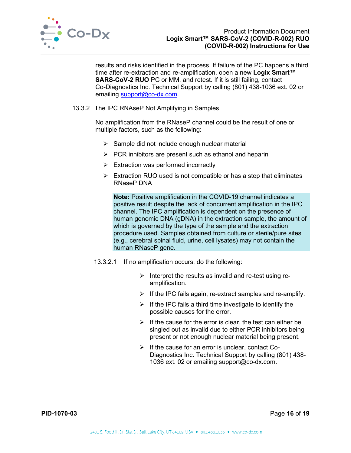

results and risks identified in the process. If failure of the PC happens a third time after re-extraction and re-amplification, open a new **Logix Smart™ SARS-CoV-2 RUO** PC or MM, and retest. If it is still failing, contact Co-Diagnostics Inc. Technical Support by calling (801) 438-1036 ext. 02 or emailing [support@co-dx.com.](mailto:support@co-dx.com)

## 13.3.2 The IPC RNAseP Not Amplifying in Samples

No amplification from the RNaseP channel could be the result of one or multiple factors, such as the following:

- $\triangleright$  Sample did not include enough nuclear material
- $\triangleright$  PCR inhibitors are present such as ethanol and heparin
- $\triangleright$  Extraction was performed incorrectly
- $\triangleright$  Extraction RUO used is not compatible or has a step that eliminates RNaseP DNA

**Note:** Positive amplification in the COVID-19 channel indicates a positive result despite the lack of concurrent amplification in the IPC channel. The IPC amplification is dependent on the presence of human genomic DNA (gDNA) in the extraction sample, the amount of which is governed by the type of the sample and the extraction procedure used. Samples obtained from culture or sterile/pure sites (e.g., cerebral spinal fluid, urine, cell lysates) may not contain the human RNaseP gene.

- 13.3.2.1 If no amplification occurs, do the following:
	- $\triangleright$  Interpret the results as invalid and re-test using reamplification.
	- $\triangleright$  If the IPC fails again, re-extract samples and re-amplify.
	- $\triangleright$  If the IPC fails a third time investigate to identify the possible causes for the error.
	- $\triangleright$  If the cause for the error is clear, the test can either be singled out as invalid due to either PCR inhibitors being present or not enough nuclear material being present.
	- $\triangleright$  If the cause for an error is unclear, contact Co-Diagnostics Inc. Technical Support by calling (801) 438- 1036 ext. 02 or emailing [support@co-dx.com.](mailto:support@co-dx.com)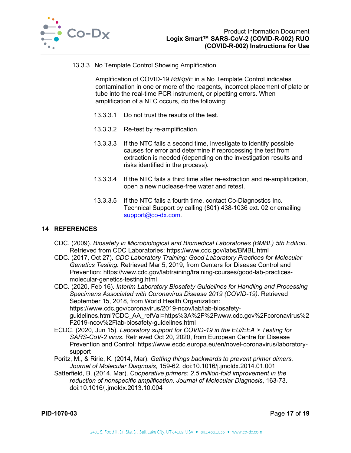

## 13.3.3 No Template Control Showing Amplification

Amplification of COVID-19 *RdRp/E* in a No Template Control indicates contamination in one or more of the reagents, incorrect placement of plate or tube into the real-time PCR instrument, or pipetting errors. When amplification of a NTC occurs, do the following:

- 13.3.3.1 Do not trust the results of the test.
- 13.3.3.2 Re-test by re-amplification.
- 13.3.3.3 If the NTC fails a second time, investigate to identify possible causes for error and determine if reprocessing the test from extraction is needed (depending on the investigation results and risks identified in the process).
- 13.3.3.4 If the NTC fails a third time after re-extraction and re-amplification, open a new nuclease-free water and retest.
- 13.3.3.5 If the NTC fails a fourth time, contact Co-Diagnostics Inc. Technical Support by calling (801) 438-1036 ext. 02 or emailing [support@co-dx.com.](mailto:support@co-dx.com)

# <span id="page-17-0"></span>**14 REFERENCES**

- CDC. (2009). *Biosafety in Microbiological and Biomedical Laboratories (BMBL) 5th Edition*. Retrieved from CDC Laboratories: https://www.cdc.gov/labs/BMBL.html
- CDC. (2017, Oct 27). *CDC Laboratory Training: Good Laboratory Practices for Molecular Genetics Testing.* Retrieved Mar 5, 2019, from Centers for Disease Control and Prevention: https://www.cdc.gov/labtraining/training-courses/good-lab-practicesmolecular-genetics-testing.html

CDC. (2020, Feb 16). *Interim Laboratory Biosafety Guidelines for Handling and Processing Specimens Associated with Coronavirus Disease 2019 (COVID-19).* Retrieved September 15, 2018, from World Health Organization: https://www.cdc.gov/coronavirus/2019-ncov/lab/lab-biosafetyguidelines.html?CDC\_AA\_refVal=https%3A%2F%2Fwww.cdc.gov%2Fcoronavirus%2 F2019-ncov%2Flab-biosafety-guidelines.html

- ECDC. (2020, Jun 15). *Laboratory support for COVID-19 in the EU/EEA > Testing for SARS-CoV-2 virus.* Retrieved Oct 20, 2020, from European Centre for Disease Prevention and Control: https://www.ecdc.europa.eu/en/novel-coronavirus/laboratorysupport
- Poritz, M., & Ririe, K. (2014, Mar). *Getting things backwards to prevent primer dimers. Journal of Molecular Diagnosis,* 159-62. doi:10.1016/j.jmoldx.2014.01.001
- Satterfield, B. (2014, Mar). *Cooperative primers: 2.5 million-fold improvement in the reduction of nonspecific amplification. Journal of Molecular Diagnosis*, 163-73. doi:10.1016/j.jmoldx.2013.10.004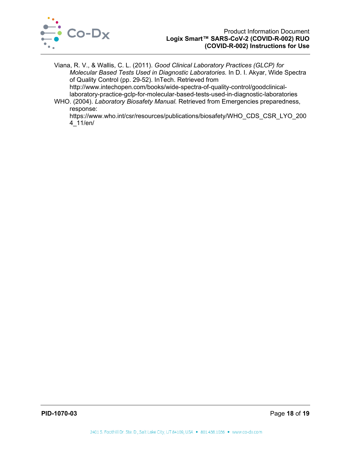

Viana, R. V., & Wallis, C. L. (2011). *Good Clinical Laboratory Practices (GLCP) for Molecular Based Tests Used in Diagnostic Laboratories.* In D. I. Akyar, Wide Spectra of Quality Control (pp. 29-52). InTech. Retrieved from

http://www.intechopen.com/books/wide-spectra-of-quality-control/goodclinicallaboratory-practice-gclp-for-molecular-based-tests-used-in-diagnostic-laboratories

WHO. (2004). *Laboratory Biosafety Manual.* Retrieved from Emergencies preparedness, response:

https://www.who.int/csr/resources/publications/biosafety/WHO\_CDS\_CSR\_LYO\_200 4\_11/en/